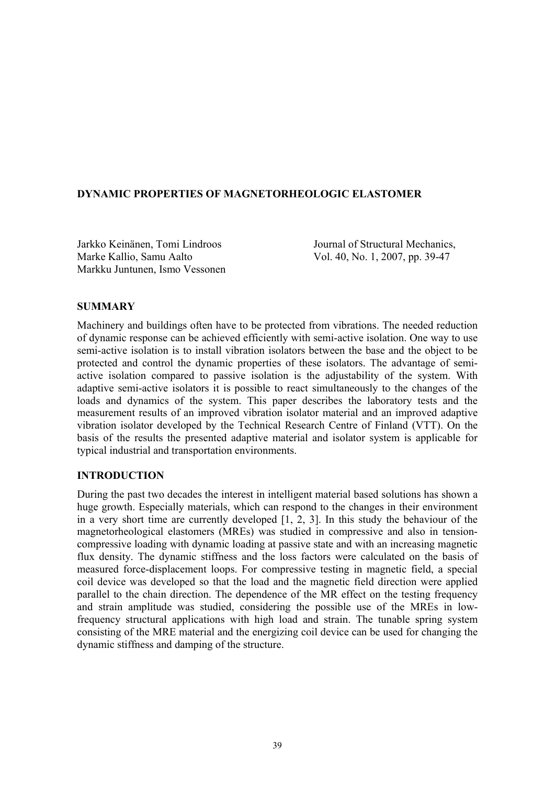## **DYNAMIC PROPERTIES OF MAGNETORHEOLOGIC ELASTOMER**

Jarkko Keinänen, Tomi Lindroos Journal of Structural Mechanics, Marke Kallio, Samu Aalto Vol. 40, No. 1, 2007, pp. 39-47 Markku Juntunen, Ismo Vessonen

### **SUMMARY**

Machinery and buildings often have to be protected from vibrations. The needed reduction of dynamic response can be achieved efficiently with semi-active isolation. One way to use semi-active isolation is to install vibration isolators between the base and the object to be protected and control the dynamic properties of these isolators. The advantage of semiactive isolation compared to passive isolation is the adjustability of the system. With adaptive semi-active isolators it is possible to react simultaneously to the changes of the loads and dynamics of the system. This paper describes the laboratory tests and the measurement results of an improved vibration isolator material and an improved adaptive vibration isolator developed by the Technical Research Centre of Finland (VTT). On the basis of the results the presented adaptive material and isolator system is applicable for typical industrial and transportation environments.

## **INTRODUCTION**

During the past two decades the interest in intelligent material based solutions has shown a huge growth. Especially materials, which can respond to the changes in their environment in a very short time are currently developed [1, 2, 3]. In this study the behaviour of the magnetorheological elastomers (MREs) was studied in compressive and also in tensioncompressive loading with dynamic loading at passive state and with an increasing magnetic flux density. The dynamic stiffness and the loss factors were calculated on the basis of measured force-displacement loops. For compressive testing in magnetic field, a special coil device was developed so that the load and the magnetic field direction were applied parallel to the chain direction. The dependence of the MR effect on the testing frequency and strain amplitude was studied, considering the possible use of the MREs in lowfrequency structural applications with high load and strain. The tunable spring system consisting of the MRE material and the energizing coil device can be used for changing the dynamic stiffness and damping of the structure.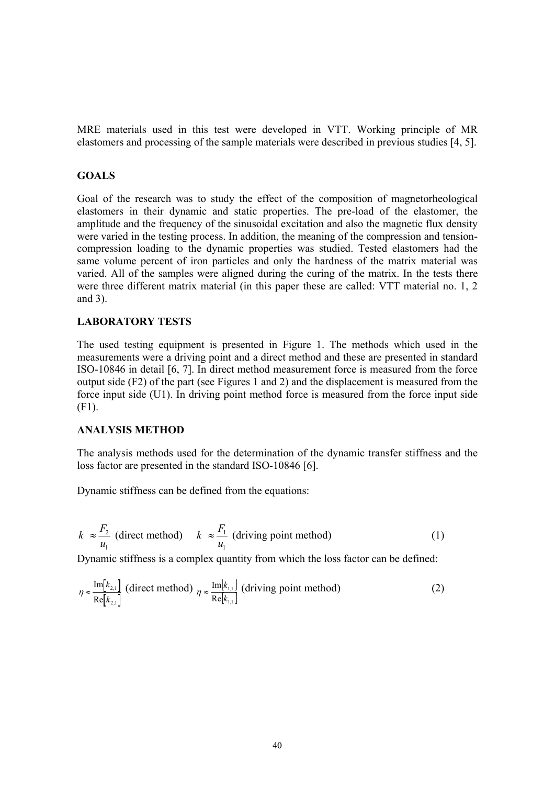MRE materials used in this test were developed in VTT. Working principle of MR elastomers and processing of the sample materials were described in previous studies [4, 5].

### **GOALS**

Goal of the research was to study the effect of the composition of magnetorheological elastomers in their dynamic and static properties. The pre-load of the elastomer, the amplitude and the frequency of the sinusoidal excitation and also the magnetic flux density were varied in the testing process. In addition, the meaning of the compression and tensioncompression loading to the dynamic properties was studied. Tested elastomers had the same volume percent of iron particles and only the hardness of the matrix material was varied. All of the samples were aligned during the curing of the matrix. In the tests there were three different matrix material (in this paper these are called: VTT material no. 1, 2 and 3).

# **LABORATORY TESTS**

The used testing equipment is presented in Figure 1. The methods which used in the measurements were a driving point and a direct method and these are presented in standard ISO-10846 in detail [6, 7]. In direct method measurement force is measured from the force output side (F2) of the part (see Figures 1 and 2) and the displacement is measured from the force input side (U1). In driving point method force is measured from the force input side (F1).

### **ANALYSIS METHOD**

The analysis methods used for the determination of the dynamic transfer stiffness and the loss factor are presented in the standard ISO-10846 [6].

Dynamic stiffness can be defined from the equations:

$$
k \approx \frac{F_2}{u_1} \text{ (direct method)} \qquad k \approx \frac{F_1}{u_1} \text{ (driving point method)} \tag{1}
$$

Dynamic stiffness is a complex quantity from which the loss factor can be defined:

$$
\eta \approx \frac{\text{Im}[k_{2,1}]}{\text{Re}[k_{2,1}]} \text{ (direct method)} \quad \eta \approx \frac{\text{Im}[k_{1,1}]}{\text{Re}[k_{1,1}]} \text{ (driving point method)} \tag{2}
$$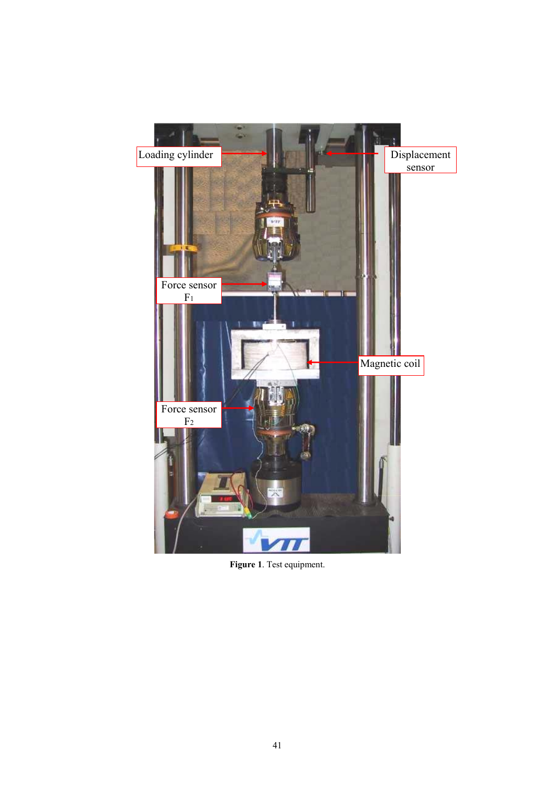

**Figure 1**. Test equipment.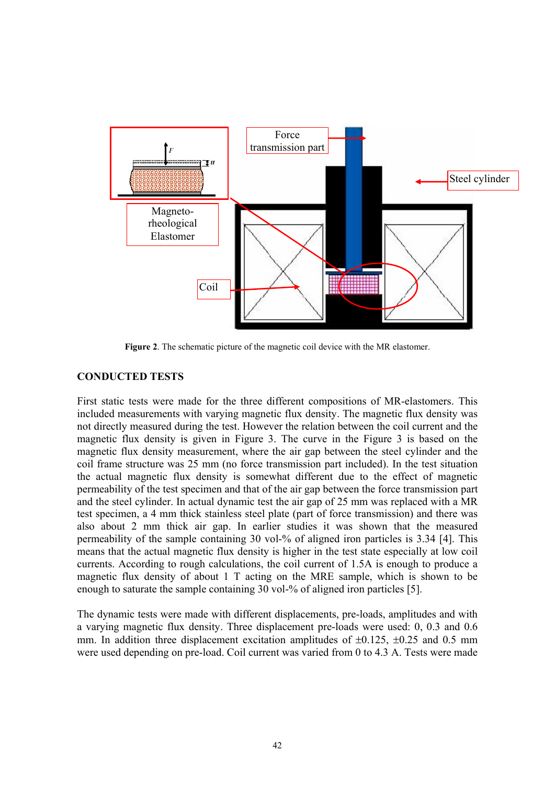

**Figure 2**. The schematic picture of the magnetic coil device with the MR elastomer.

# **CONDUCTED TESTS**

First static tests were made for the three different compositions of MR-elastomers. This included measurements with varying magnetic flux density. The magnetic flux density was not directly measured during the test. However the relation between the coil current and the magnetic flux density is given in Figure 3. The curve in the Figure 3 is based on the magnetic flux density measurement, where the air gap between the steel cylinder and the coil frame structure was 25 mm (no force transmission part included). In the test situation the actual magnetic flux density is somewhat different due to the effect of magnetic permeability of the test specimen and that of the air gap between the force transmission part and the steel cylinder. In actual dynamic test the air gap of 25 mm was replaced with a MR test specimen, a 4 mm thick stainless steel plate (part of force transmission) and there was also about 2 mm thick air gap. In earlier studies it was shown that the measured permeability of the sample containing 30 vol-% of aligned iron particles is 3.34 [4]. This means that the actual magnetic flux density is higher in the test state especially at low coil currents. According to rough calculations, the coil current of 1.5A is enough to produce a magnetic flux density of about 1 T acting on the MRE sample, which is shown to be enough to saturate the sample containing 30 vol-% of aligned iron particles [5].

The dynamic tests were made with different displacements, pre-loads, amplitudes and with a varying magnetic flux density. Three displacement pre-loads were used: 0, 0.3 and 0.6 mm. In addition three displacement excitation amplitudes of  $\pm 0.125$ ,  $\pm 0.25$  and 0.5 mm were used depending on pre-load. Coil current was varied from 0 to 4.3 A. Tests were made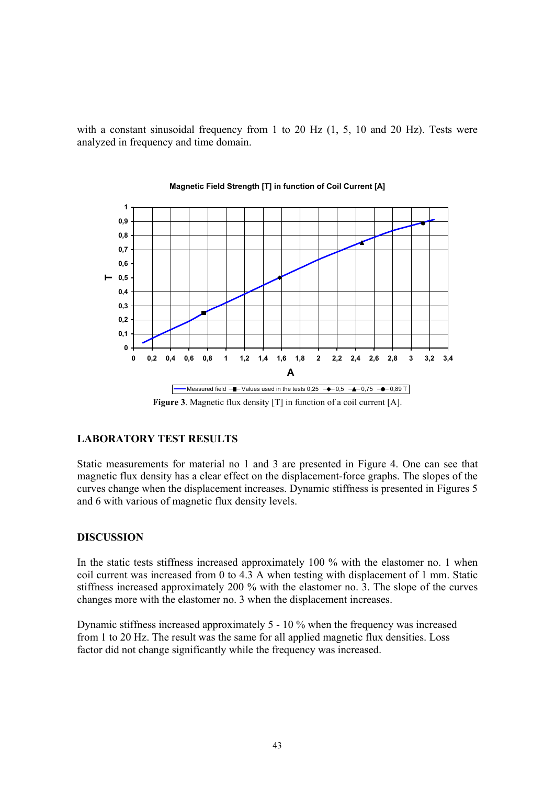with a constant sinusoidal frequency from 1 to 20 Hz  $(1, 5, 10, 20, 12)$ . Tests were analyzed in frequency and time domain.



**Magnetic Field Strength [T] in function of Coil Current [A]**

### **LABORATORY TEST RESULTS**

Static measurements for material no 1 and 3 are presented in Figure 4. One can see that magnetic flux density has a clear effect on the displacement-force graphs. The slopes of the curves change when the displacement increases. Dynamic stiffness is presented in Figures 5 and 6 with various of magnetic flux density levels.

### **DISCUSSION**

In the static tests stiffness increased approximately 100 % with the elastomer no. 1 when coil current was increased from 0 to 4.3 A when testing with displacement of 1 mm. Static stiffness increased approximately 200 % with the elastomer no. 3. The slope of the curves changes more with the elastomer no. 3 when the displacement increases.

Dynamic stiffness increased approximately 5 - 10 % when the frequency was increased from 1 to 20 Hz. The result was the same for all applied magnetic flux densities. Loss factor did not change significantly while the frequency was increased.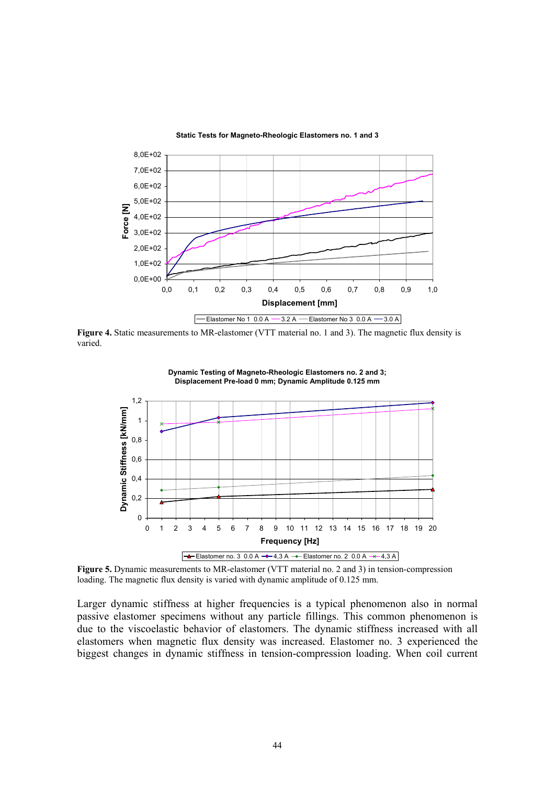

**Static Tests for Magneto-Rheologic Elastomers no. 1 and 3**

**Figure 4.** Static measurements to MR-elastomer (VTT material no. 1 and 3). The magnetic flux density is varied.



**Dynamic Testing of Magneto-Rheologic Elastomers no. 2 and 3; Displacement Pre-load 0 mm; Dynamic Amplitude 0.125 mm**

**Figure 5.** Dynamic measurements to MR-elastomer (VTT material no. 2 and 3) in tension-compression loading. The magnetic flux density is varied with dynamic amplitude of 0.125 mm.

Larger dynamic stiffness at higher frequencies is a typical phenomenon also in normal passive elastomer specimens without any particle fillings. This common phenomenon is due to the viscoelastic behavior of elastomers. The dynamic stiffness increased with all elastomers when magnetic flux density was increased. Elastomer no. 3 experienced the biggest changes in dynamic stiffness in tension-compression loading. When coil current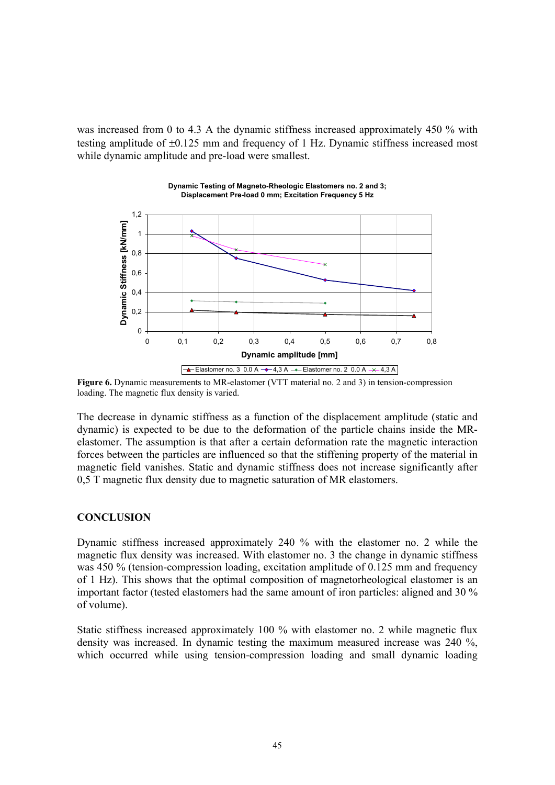was increased from 0 to 4.3 A the dynamic stiffness increased approximately 450 % with testing amplitude of ±0.125 mm and frequency of 1 Hz. Dynamic stiffness increased most while dynamic amplitude and pre-load were smallest.

**Dynamic Testing of Magneto-Rheologic Elastomers no. 2 and 3;** 



**Figure 6.** Dynamic measurements to MR-elastomer (VTT material no. 2 and 3) in tension-compression loading. The magnetic flux density is varied.

The decrease in dynamic stiffness as a function of the displacement amplitude (static and dynamic) is expected to be due to the deformation of the particle chains inside the MRelastomer. The assumption is that after a certain deformation rate the magnetic interaction forces between the particles are influenced so that the stiffening property of the material in magnetic field vanishes. Static and dynamic stiffness does not increase significantly after 0,5 T magnetic flux density due to magnetic saturation of MR elastomers.

### **CONCLUSION**

Dynamic stiffness increased approximately 240 % with the elastomer no. 2 while the magnetic flux density was increased. With elastomer no. 3 the change in dynamic stiffness was 450 % (tension-compression loading, excitation amplitude of 0.125 mm and frequency of 1 Hz). This shows that the optimal composition of magnetorheological elastomer is an important factor (tested elastomers had the same amount of iron particles: aligned and 30 % of volume).

Static stiffness increased approximately 100 % with elastomer no. 2 while magnetic flux density was increased. In dynamic testing the maximum measured increase was 240 %, which occurred while using tension-compression loading and small dynamic loading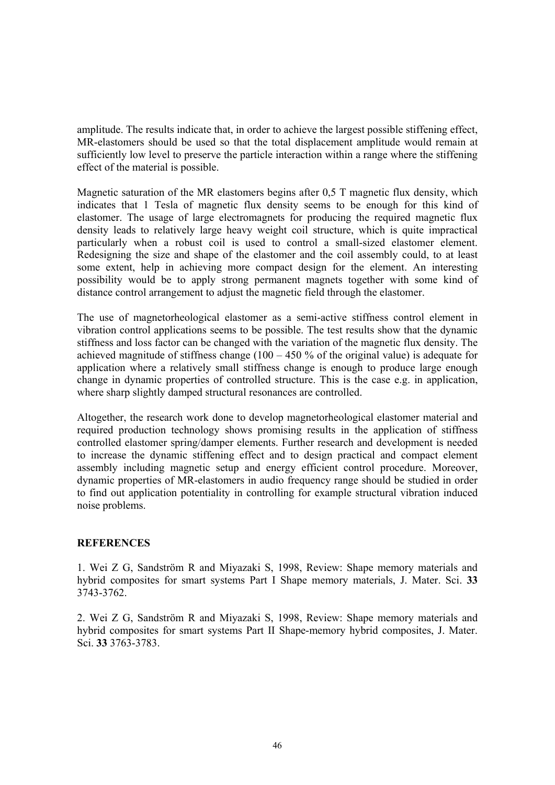amplitude. The results indicate that, in order to achieve the largest possible stiffening effect, MR-elastomers should be used so that the total displacement amplitude would remain at sufficiently low level to preserve the particle interaction within a range where the stiffening effect of the material is possible.

Magnetic saturation of the MR elastomers begins after 0,5 T magnetic flux density, which indicates that 1 Tesla of magnetic flux density seems to be enough for this kind of elastomer. The usage of large electromagnets for producing the required magnetic flux density leads to relatively large heavy weight coil structure, which is quite impractical particularly when a robust coil is used to control a small-sized elastomer element. Redesigning the size and shape of the elastomer and the coil assembly could, to at least some extent, help in achieving more compact design for the element. An interesting possibility would be to apply strong permanent magnets together with some kind of distance control arrangement to adjust the magnetic field through the elastomer.

The use of magnetorheological elastomer as a semi-active stiffness control element in vibration control applications seems to be possible. The test results show that the dynamic stiffness and loss factor can be changed with the variation of the magnetic flux density. The achieved magnitude of stiffness change ( $100 - 450$  % of the original value) is adequate for application where a relatively small stiffness change is enough to produce large enough change in dynamic properties of controlled structure. This is the case e.g. in application, where sharp slightly damped structural resonances are controlled.

Altogether, the research work done to develop magnetorheological elastomer material and required production technology shows promising results in the application of stiffness controlled elastomer spring/damper elements. Further research and development is needed to increase the dynamic stiffening effect and to design practical and compact element assembly including magnetic setup and energy efficient control procedure. Moreover, dynamic properties of MR-elastomers in audio frequency range should be studied in order to find out application potentiality in controlling for example structural vibration induced noise problems.

# **REFERENCES**

1. Wei Z G, Sandström R and Miyazaki S, 1998, Review: Shape memory materials and hybrid composites for smart systems Part I Shape memory materials, J. Mater. Sci. **33**  3743-3762.

2. Wei Z G, Sandström R and Miyazaki S, 1998, Review: Shape memory materials and hybrid composites for smart systems Part II Shape-memory hybrid composites, J. Mater. Sci. **33** 3763-3783.